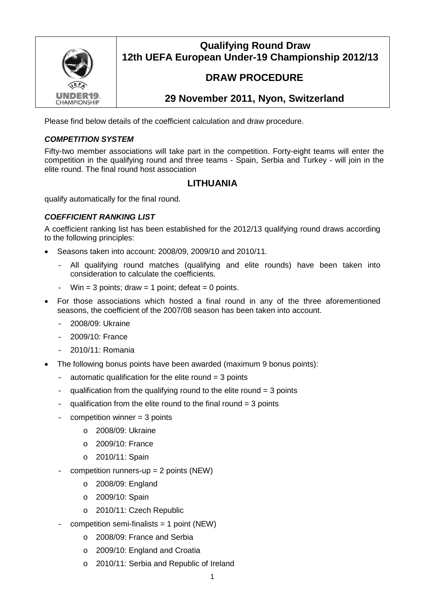

### **Qualifying Round Draw 12th UEFA European Under-19 Championship 2012/13**

# **DRAW PROCEDURE**

## **29 November 2011, Nyon, Switzerland**

Please find below details of the coefficient calculation and draw procedure.

#### *COMPETITION SYSTEM*

Fifty-two member associations will take part in the competition. Forty-eight teams will enter the competition in the qualifying round and three teams - Spain, Serbia and Turkey - will join in the elite round. The final round host association

### **LITHUANIA**

qualify automatically for the final round.

#### *COEFFICIENT RANKING LIST*

A coefficient ranking list has been established for the 2012/13 qualifying round draws according to the following principles:

- Seasons taken into account: 2008/09, 2009/10 and 2010/11.
	- All qualifying round matches (qualifying and elite rounds) have been taken into consideration to calculate the coefficients.
	- Win = 3 points; draw = 1 point; defeat = 0 points.
- For those associations which hosted a final round in any of the three aforementioned seasons, the coefficient of the 2007/08 season has been taken into account.
	- 2008/09: Ukraine
	- 2009/10: France
	- 2010/11: Romania
- The following bonus points have been awarded (maximum 9 bonus points):
	- $-$  automatic qualification for the elite round  $=$  3 points
	- qualification from the qualifying round to the elite round  $=$  3 points
	- qualification from the elite round to the final round  $= 3$  points
	- $c$ ompetition winner = 3 points
		- o 2008/09: Ukraine
		- o 2009/10: France
		- o 2010/11: Spain
	- competition runners-up  $= 2$  points (NEW)
		- o 2008/09: England
		- o 2009/10: Spain
		- o 2010/11: Czech Republic
	- competition semi-finalists  $= 1$  point (NEW)
		- o 2008/09: France and Serbia
		- o 2009/10: England and Croatia
		- o 2010/11: Serbia and Republic of Ireland